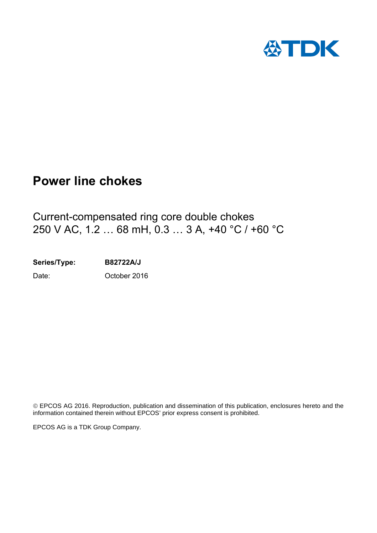

# **Power line chokes**

Current-compensated ring core double chokes 250 V AC, 1.2 … 68 mH, 0.3 … 3 A, +40 °C / +60 °C

**Series/Type: B82722A/J** Date: Cortober 2016

EPCOS AG 2016. Reproduction, publication and dissemination of this publication, enclosures hereto and the information contained therein without EPCOS' prior express consent is prohibited.

EPCOS AG is a TDK Group Company.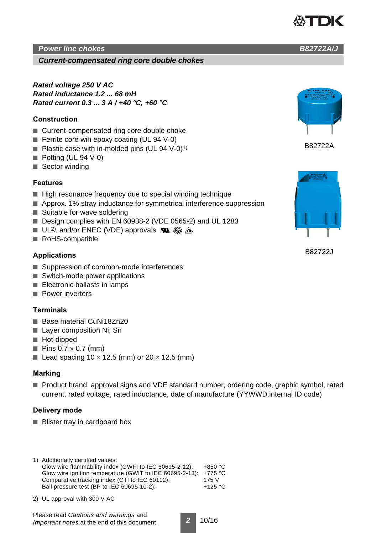## *Power line chokes B82722A/J*

*Current-compensated ring core double chokes*

*Rated voltage 250 V AC Rated inductance 1.2 ... 68 mH Rated current 0.3 ... 3 A / +40 °C, +60 °C*

### **Construction**

- Current-compensated ring core double choke
- Ferrite core wih epoxy coating (UL 94 V-0)
- Plastic case with in-molded pins (UL 94 V-0)<sup>1)</sup>
- Potting (UL 94 V-0)
- Sector winding

#### **Features**

- High resonance frequency due to special winding technique
- Approx. 1% stray inductance for symmetrical interference suppression
- Suitable for wave soldering
- Design complies with EN 60938-2 (VDE 0565-2) and UL 1283
- UL<sup>2)</sup> and/or ENEC (VDE) approvals  $\mathbb{R}$   $\mathbb{R}$   $\triangle$
- RoHS-compatible

#### **Applications**

- Suppression of common-mode interferences
- Switch-mode power applications
- Electronic ballasts in lamps
- Power inverters

### **Terminals**

- Base material CuNi18Zn20
- Laver composition Ni, Sn
- Hot-dipped
- $\blacksquare$  Pins 0.7  $\times$  0.7 (mm)
- Lead spacing  $10 \times 12.5$  (mm) or  $20 \times 12.5$  (mm)

### **Marking**

■ Product brand, approval signs and VDE standard number, ordering code, graphic symbol, rated current, rated voltage, rated inductance, date of manufacture (YYWWD.internal ID code)

#### **Delivery mode**

■ Blister tray in cardboard box

|  | 1) Additionally certified values:                                |           |
|--|------------------------------------------------------------------|-----------|
|  | Glow wire flammability index (GWFI to IEC 60695-2-12):           | $+850 °C$ |
|  | Glow wire ignition temperature (GWIT to IEC 60695-2-13): +775 °C |           |
|  | Comparative tracking index (CTI to IEC 60112):                   | 175 V     |
|  | Ball pressure test (BP to IEC 60695-10-2):                       | $+125$ °C |
|  |                                                                  |           |

2) UL approval with 300 V AC

Please read *Cautions and warnings* and *Important notes* at the end of this document.

*2* 10/16



B82722A



B82722J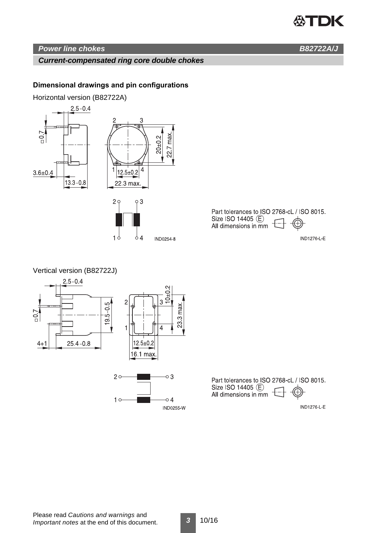# **公TDK**

# *Power line chokes B82722A/J*

### *Current-compensated ring core double chokes*

### **Dimensional drawings and pin configurations**

Horizontal version (B82722A)



Part tolerances to ISO 2768-cL / ISO 8015. Size ISO 14405 (E) Ð. All dimensions in mm

**IND1276-L-E** 



Part tolerances to ISO 2768-cL / ISO 8015. Size ISO 14405 (E)<br>All dimensions in mm (A)

**IND1276-L-E**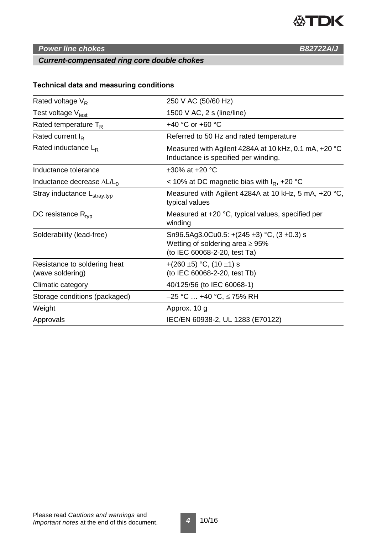

# **Power line chokes B82722A/J**

# *Current-compensated ring core double chokes*

# **Technical data and measuring conditions**

| 250 V AC (50/60 Hz)                                                                                                           |  |  |  |
|-------------------------------------------------------------------------------------------------------------------------------|--|--|--|
| 1500 V AC, $2 s$ (line/line)                                                                                                  |  |  |  |
| +40 °C or +60 °C                                                                                                              |  |  |  |
| Referred to 50 Hz and rated temperature                                                                                       |  |  |  |
| Measured with Agilent 4284A at 10 kHz, 0.1 mA, +20 °C<br>Inductance is specified per winding.                                 |  |  |  |
| $\pm 30\%$ at +20 °C                                                                                                          |  |  |  |
| < 10% at DC magnetic bias with $I_R$ , +20 °C                                                                                 |  |  |  |
| Measured with Agilent 4284A at 10 kHz, 5 mA, +20 °C,<br>typical values                                                        |  |  |  |
| Measured at +20 °C, typical values, specified per<br>winding                                                                  |  |  |  |
| Sn96.5Ag3.0Cu0.5: +(245 $\pm$ 3) °C, (3 $\pm$ 0.3) s<br>Wetting of soldering area $\geq 95\%$<br>(to IEC 60068-2-20, test Ta) |  |  |  |
| +(260 ±5) °C, (10 ±1) s<br>(to IEC 60068-2-20, test Tb)                                                                       |  |  |  |
| 40/125/56 (to IEC 60068-1)                                                                                                    |  |  |  |
| –25 °C … +40 °C, ≤ 75% RH                                                                                                     |  |  |  |
| Approx. 10 g                                                                                                                  |  |  |  |
| IEC/EN 60938-2, UL 1283 (E70122)                                                                                              |  |  |  |
|                                                                                                                               |  |  |  |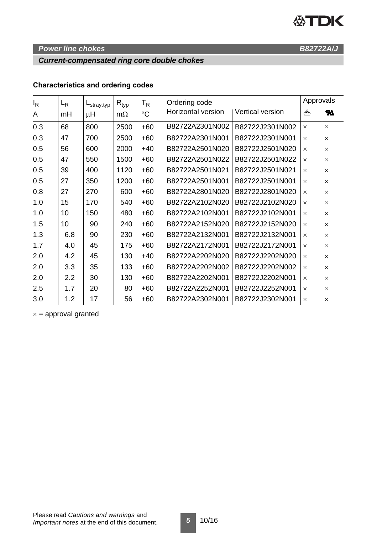# **公TDK**

# **Power line chokes B82722A/J**

# *Current-compensated ring core double chokes*

# **Characteristics and ordering codes**

| $I_R$ | $L_{R}$ | $L_{\text{stray,typ}}$ | $R_{typ}$ | T <sub>R</sub> | Ordering code      |                  | Approvals |          |
|-------|---------|------------------------|-----------|----------------|--------------------|------------------|-----------|----------|
| A     | mH      | μH                     | $m\Omega$ | °C             | Horizontal version | Vertical version | ≙         | Ы        |
| 0.3   | 68      | 800                    | 2500      | $+60$          | B82722A2301N002    | B82722J2301N002  | $\times$  | $\times$ |
| 0.3   | 47      | 700                    | 2500      | $+60$          | B82722A2301N001    | B82722J2301N001  | $\times$  | $\times$ |
| 0.5   | 56      | 600                    | 2000      | $+40$          | B82722A2501N020    | B82722J2501N020  | $\times$  | $\times$ |
| 0.5   | 47      | 550                    | 1500      | $+60$          | B82722A2501N022    | B82722J2501N022  | $\times$  | $\times$ |
| 0.5   | 39      | 400                    | 1120      | $+60$          | B82722A2501N021    | B82722J2501N021  | $\times$  | X        |
| 0.5   | 27      | 350                    | 1200      | $+60$          | B82722A2501N001    | B82722J2501N001  | $\times$  | $\times$ |
| 0.8   | 27      | 270                    | 600       | $+60$          | B82722A2801N020    | B82722J2801N020  | $\times$  | $\times$ |
| 1.0   | 15      | 170                    | 540       | $+60$          | B82722A2102N020    | B82722J2102N020  | $\times$  | $\times$ |
| 1.0   | 10      | 150                    | 480       | $+60$          | B82722A2102N001    | B82722J2102N001  | $\times$  | X        |
| 1.5   | 10      | 90                     | 240       | $+60$          | B82722A2152N020    | B82722J2152N020  | $\times$  | $\times$ |
| 1.3   | 6.8     | 90                     | 230       | $+60$          | B82722A2132N001    | B82722J2132N001  | $\times$  | $\times$ |
| 1.7   | 4.0     | 45                     | 175       | $+60$          | B82722A2172N001    | B82722J2172N001  | $\times$  | $\times$ |
| 2.0   | 4.2     | 45                     | 130       | $+40$          | B82722A2202N020    | B82722J2202N020  | $\times$  | $\times$ |
| 2.0   | 3.3     | 35                     | 133       | $+60$          | B82722A2202N002    | B82722J2202N002  | $\times$  | $\times$ |
| 2.0   | 2.2     | 30                     | 130       | $+60$          | B82722A2202N001    | B82722J2202N001  | $\times$  | $\times$ |
| 2.5   | 1.7     | 20                     | 80        | $+60$          | B82722A2252N001    | B82722J2252N001  | $\times$  | $\times$ |
| 3.0   | 1.2     | 17                     | 56        | $+60$          | B82722A2302N001    | B82722J2302N001  | $\times$  | $\times$ |

 $x =$  approval granted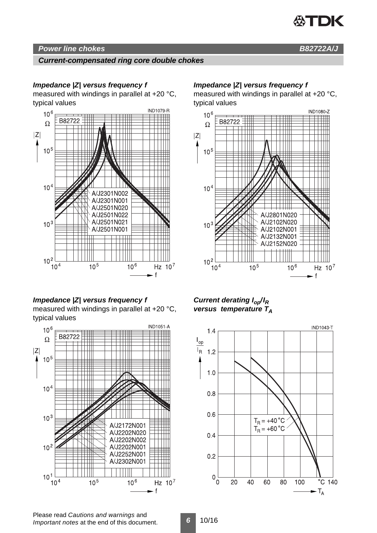

# *Power line chokes B82722A/J*

### *Current-compensated ring core double chokes*

### *Impedance |Z| versus frequency f*

measured with windings in parallel at +20 °C, typical values



# *Impedance |Z| versus frequency f*

measured with windings in parallel at +20 °C, typical values



### *Impedance |Z| versus frequency f*

measured with windings in parallel at +20 °C, typical values



*Current derating Iop/IR versus temperature TA*



Please read *Cautions and warnings* and *Important notes* at the end of this document.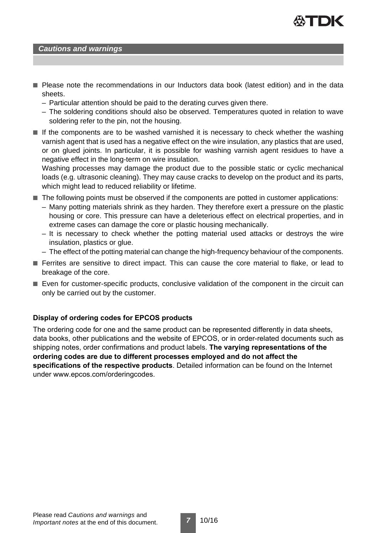

#### *Cautions and warnings*

- Please note the recommendations in our Inductors data book (latest edition) and in the data sheets.
	- Particular attention should be paid to the derating curves given there.
	- The soldering conditions should also be observed. Temperatures quoted in relation to wave soldering refer to the pin, not the housing.
- If the components are to be washed varnished it is necessary to check whether the washing varnish agent that is used has a negative effect on the wire insulation, any plastics that are used, or on glued joints. In particular, it is possible for washing varnish agent residues to have a negative effect in the long-term on wire insulation.

Washing processes may damage the product due to the possible static or cyclic mechanical loads (e.g. ultrasonic cleaning). They may cause cracks to develop on the product and its parts, which might lead to reduced reliability or lifetime.

- The following points must be observed if the components are potted in customer applications:
	- Many potting materials shrink as they harden. They therefore exert a pressure on the plastic housing or core. This pressure can have a deleterious effect on electrical properties, and in extreme cases can damage the core or plastic housing mechanically.
	- It is necessary to check whether the potting material used attacks or destroys the wire insulation, plastics or glue.
	- The effect of the potting material can change the high-frequency behaviour of the components.
- Ferrites are sensitive to direct impact. This can cause the core material to flake, or lead to breakage of the core.
- Even for customer-specific products, conclusive validation of the component in the circuit can only be carried out by the customer.

#### **Display of ordering codes for EPCOS products**

The ordering code for one and the same product can be represented differently in data sheets, data books, other publications and the website of EPCOS, or in order-related documents such as shipping notes, order confirmations and product labels. **The varying representations of the ordering codes are due to different processes employed and do not affect the specifications of the respective products**. Detailed information can be found on the Internet under www.epcos.com/orderingcodes.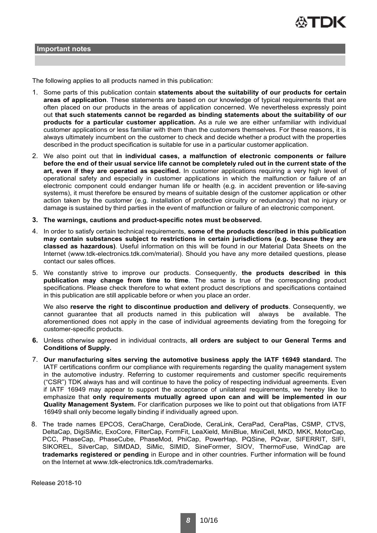

The following applies to all products named in this publication:

- 1. Some parts of this publication contain **statements about the suitability of our products for certain areas of application**. These statements are based on our knowledge of typical requirements that are often placed on our products in the areas of application concerned. We nevertheless expressly point out **that such statements cannot be regarded as binding statements about the suitability of our products for a particular customer application.** As a rule we are either unfamiliar with individual customer applications or less familiar with them than the customers themselves. For these reasons, it is always ultimately incumbent on the customer to check and decide whether a product with the properties described in the product specification is suitable for use in a particular customer application.
- 2. We also point out that **in individual cases, a malfunction of electronic components or failure before the end of their usual service life cannot be completely ruled out in the current state of the art, even if they are operated as specified.** In customer applications requiring a very high level of operational safety and especially in customer applications in which the malfunction or failure of an electronic component could endanger human life or health (e.g. in accident prevention or life-saving systems), it must therefore be ensured by means of suitable design of the customer application or other action taken by the customer (e.g. installation of protective circuitry or redundancy) that no injury or damage is sustained by third parties in the event of malfunction or failure of an electronic component.
- **3. The warnings, cautions and product-specific notes must be observed.**
- 4. In order to satisfy certain technical requirements, **some of the products described in this publication may contain substances subject to restrictions in certain jurisdictions (e.g. because they are classed as hazardous)**. Useful information on this will be found in our Material Data Sheets on the Internet (www.tdk-electronics.tdk.com/material). Should you have any more detailed questions, please contact our sales offices.
- 5. We constantly strive to improve our products. Consequently, **the products described in this publication may change from time to time**. The same is true of the corresponding product specifications. Please check therefore to what extent product descriptions and specifications contained in this publication are still applicable before or when you place an order.

We also **reserve the right to discontinue production and delivery of products**. Consequently, we cannot guarantee that all products named in this publication will always be available. The aforementioned does not apply in the case of individual agreements deviating from the foregoing for customer-specific products.

- **6.** Unless otherwise agreed in individual contracts, **all orders are subject to our General Terms and Conditions of Supply.**
- 7. **Our manufacturing sites serving the automotive business apply the IATF 16949 standard.** The IATF certifications confirm our compliance with requirements regarding the quality management system in the automotive industry. Referring to customer requirements and customer specific requirements ("CSR") TDK always has and will continue to have the policy of respecting individual agreements. Even if IATF 16949 may appear to support the acceptance of unilateral requirements, we hereby like to emphasize that **only requirements mutually agreed upon can and will be implemented in our Quality Management System.** For clarification purposes we like to point out that obligations from IATF 16949 shall only become legally binding if individually agreed upon.
- 8. The trade names EPCOS, CeraCharge, CeraDiode, CeraLink, CeraPad, CeraPlas, CSMP, CTVS, DeltaCap, DigiSiMic, ExoCore, FilterCap, FormFit, LeaXield, MiniBlue, MiniCell, MKD, MKK, MotorCap, PCC, PhaseCap, PhaseCube, PhaseMod, PhiCap, PowerHap, PQSine, PQvar, SIFERRIT, SIFI, SIKOREL, SilverCap, SIMDAD, SiMic, SIMID, SineFormer, SIOV, ThermoFuse, WindCap are **trademarks registered or pending** in Europe and in other countries. Further information will be found on the Internet at www.tdk-electronics.tdk.com/trademarks.

Release 2018-10

*8* 10/16